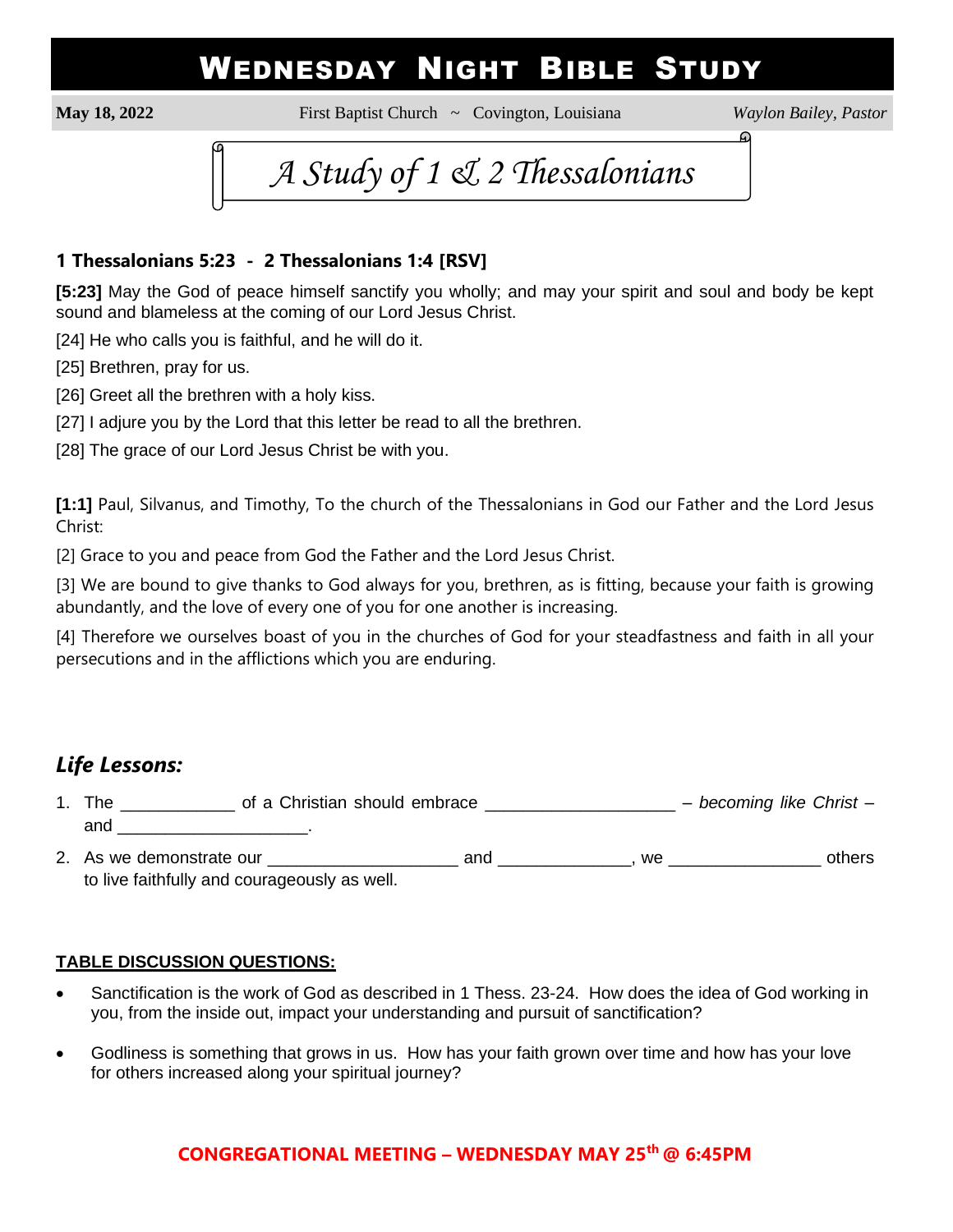# WEDNESDAY NIGHT BIBLE STUDY

**May 18, 2022** First Baptist Church ~ Covington, Louisiana *Waylon Bailey, Pastor*

⋒



### **1 Thessalonians 5:23 - 2 Thessalonians 1:4 [RSV]**

**[5:23]** May the God of peace himself sanctify you wholly; and may your spirit and soul and body be kept sound and blameless at the coming of our Lord Jesus Christ.

[24] He who calls you is faithful, and he will do it.

[25] Brethren, pray for us.

[26] Greet all the brethren with a holy kiss.

[27] I adjure you by the Lord that this letter be read to all the brethren.

[28] The grace of our Lord Jesus Christ be with you.

**[1:1]** Paul, Silvanus, and Timothy, To the church of the Thessalonians in God our Father and the Lord Jesus Christ:

[2] Grace to you and peace from God the Father and the Lord Jesus Christ.

[3] We are bound to give thanks to God always for you, brethren, as is fitting, because your faith is growing abundantly, and the love of every one of you for one another is increasing.

[4] Therefore we ourselves boast of you in the churches of God for your steadfastness and faith in all your persecutions and in the afflictions which you are enduring.

# *Life Lessons:*

- 1. The \_\_\_\_\_\_\_\_\_\_\_\_ of a Christian should embrace \_\_\_\_\_\_\_\_\_\_\_\_\_\_\_\_\_\_\_\_ *becoming like Christ* and \_\_\_\_\_\_\_\_\_\_\_\_\_\_\_\_\_\_\_\_\_\_\_\_\_\_\_\_\_\_\_\_.
- 2. As we demonstrate our \_\_\_\_\_\_\_\_\_\_\_\_\_\_\_\_\_\_\_\_ and \_\_\_\_\_\_\_\_\_\_\_\_\_\_, we \_\_\_\_\_\_\_\_\_\_\_\_\_\_\_\_ others to live faithfully and courageously as well.

#### **TABLE DISCUSSION QUESTIONS:**

- Sanctification is the work of God as described in 1 Thess. 23-24. How does the idea of God working in you, from the inside out, impact your understanding and pursuit of sanctification?
- Godliness is something that grows in us. How has your faith grown over time and how has your love for others increased along your spiritual journey?